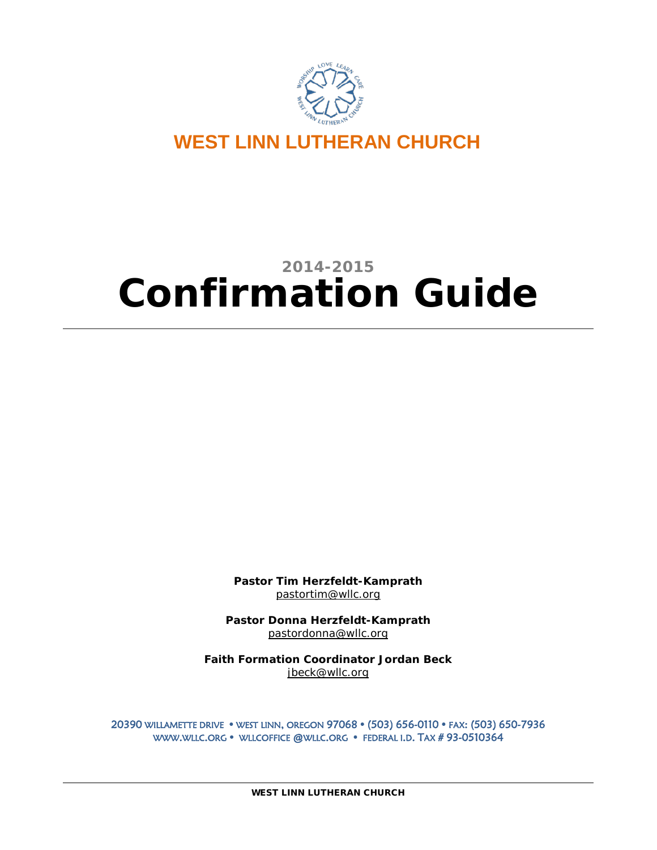

**WEST LINN LUTHERAN CHURCH**

# **2014-2015 Confirmation Guide**

**Pastor Tim Herzfeldt-Kamprath** [pastortim@wllc.org](mailto:pastortim@wllc.org)

**Pastor Donna Herzfeldt-Kamprath** pastordonna@wllc.org

**Faith Formation Coordinator Jordan Beck** jbeck@wllc.org

20390 WILLAMETTE DRIVE WEST LINN, OREGON 97068 (503) 656-0110 FAX: (503) 650-7936 WWW.WLLC.ORG • WLLCOFFICE @WLLC.ORG • FEDERAL I.D. TAX #93-0510364

WEST LINN LUTHERAN CHURCH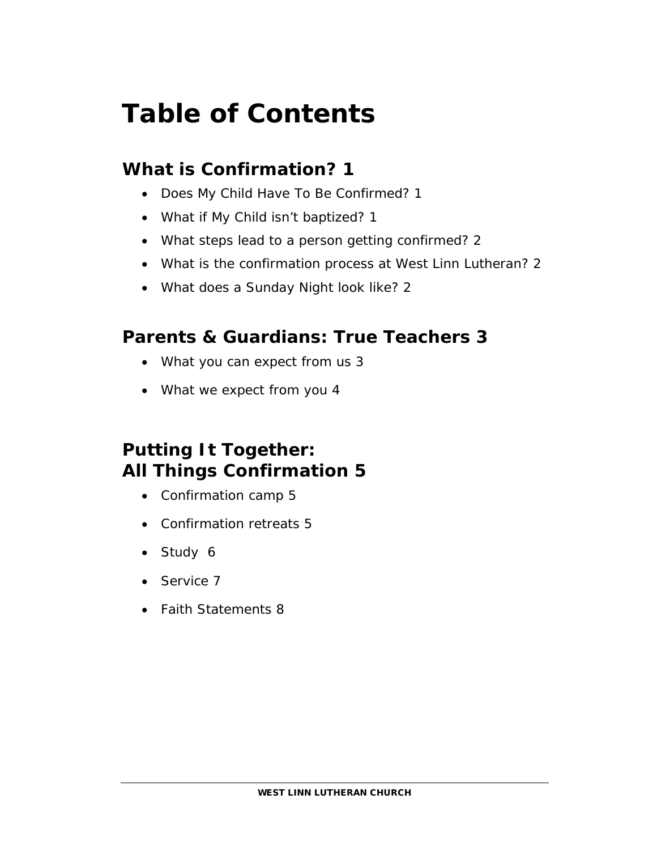# **Table of Contents**

# **What is Confirmation? 1**

- Does My Child Have To Be Confirmed? 1
- What if My Child isn't baptized? 1
- What steps lead to a person getting confirmed? 2
- What is the confirmation process at West Linn Lutheran? 2
- What does a Sunday Night look like? 2

# **Parents & Guardians: True Teachers 3**

- What you can expect from us 3
- What we expect from you 4

# **Putting It Together: All Things Confirmation 5**

- Confirmation camp 5
- Confirmation retreats 5
- Study 6
- Service 7
- Faith Statements 8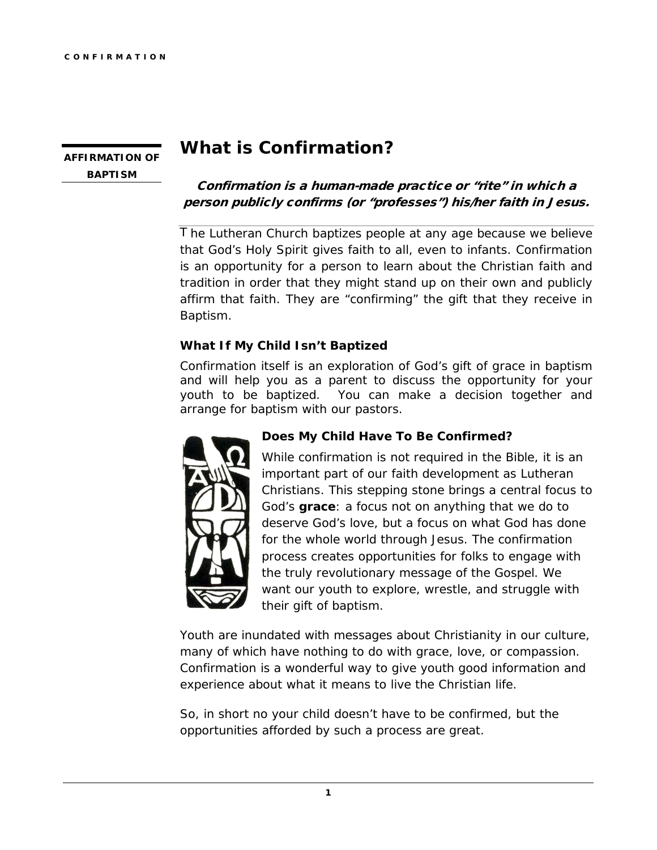## **AFFIRMATION OF BAPTISM**

# **What is Confirmation?**

## Confirmation is a human-made practice or "rite" in which a person publicly confirms (or "professes") his/her faith in Jesus.

The Lutheran Church baptizes people at any age because we believe that God's Holy Spirit gives faith to all, even to infants. Confirmation is an opportunity for a person to learn about the Christian faith and tradition in order that they might stand up on their own and publicly affirm that faith. They are "confirming" the gift that they receive in Baptism.

### **What If My Child Isn't Baptized**

Confirmation itself is an exploration of God's gift of grace in baptism and will help you as a parent to discuss the opportunity for your youth to be baptized. You can make a decision together and arrange for baptism with our pastors.



#### **Does My Child Have To Be Confirmed?**

While confirmation is not required in the Bible, it is an important part of our faith development as Lutheran Christians. This stepping stone brings a central focus to God's **grace**: a focus not on anything that we do to deserve God's love, but a focus on what God has done for the whole world through Jesus. The confirmation process creates opportunities for folks to engage with the truly revolutionary message of the Gospel. We want our youth to explore, wrestle, and struggle with their gift of baptism.

Youth are inundated with messages about Christianity in our culture, many of which have nothing to do with grace, love, or compassion. Confirmation is a wonderful way to give youth good information and experience about what it means to live the Christian life.

So, in short no your child doesn't have to be confirmed, but the opportunities afforded by such a process are great.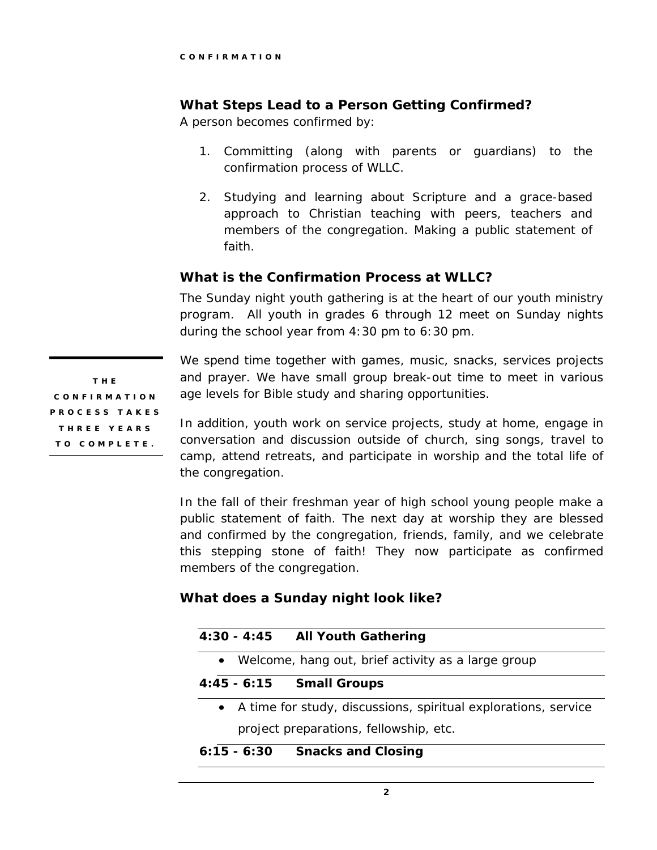## **What Steps Lead to a Person Getting Confirmed?**

A person becomes confirmed by:

- 1. Committing (along with parents or guardians) to the confirmation process of WLLC.
- 2. Studying and learning about Scripture and a grace-based approach to Christian teaching with peers, teachers and members of the congregation. Making a public statement of faith.

#### **What is the Confirmation Process at WLLC?**

The Sunday night youth gathering is at the heart of our youth ministry program. All youth in grades 6 through 12 meet on Sunday nights during the school year from 4:30 pm to 6:30 pm.

THE CONFIRMATION PROCESS TAKES THREE YEARS TO COMPLETE.

We spend time together with games, music, snacks, services projects and prayer. We have small group break-out time to meet in various age levels for Bible study and sharing opportunities.

In addition, youth work on service projects, study at home, engage in conversation and discussion outside of church, sing songs, travel to camp, attend retreats, and participate in worship and the total life of the congregation.

In the fall of their freshman year of high school young people make a public statement of faith. The next day at worship they are blessed and confirmed by the congregation, friends, family, and we celebrate this stepping stone of faith! They now participate as confirmed members of the congregation.

#### **What does a Sunday night look like?**

| • Welcome, hang out, brief activity as a large group             |
|------------------------------------------------------------------|
|                                                                  |
| 4:45 - 6:15 Small Groups                                         |
| • A time for study, discussions, spiritual explorations, service |
| project preparations, fellowship, etc.                           |

**6:15 - 6:30 Snacks and Closing**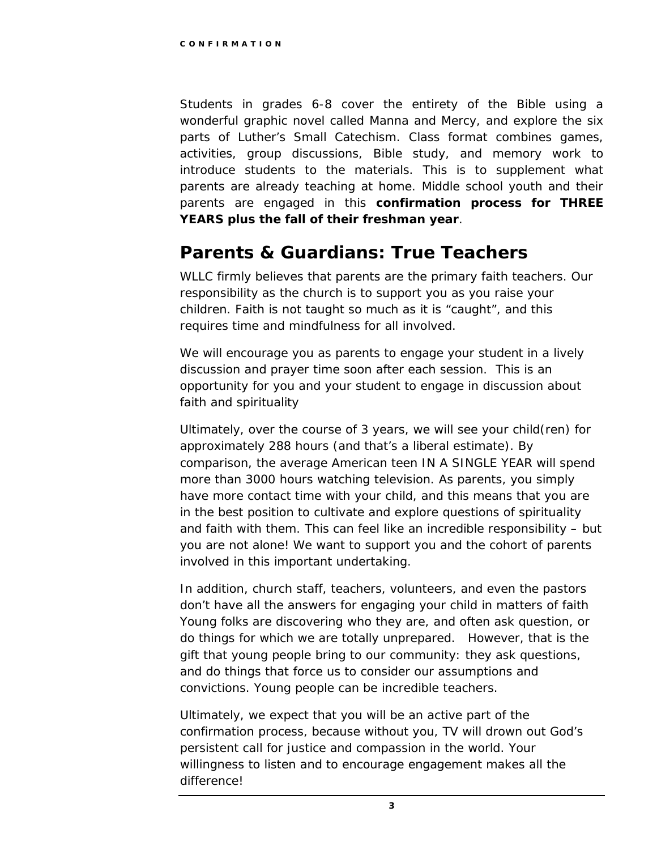Students in grades 6-8 cover the entirety of the Bible using a wonderful graphic novel called *Manna and Mercy,* and explore the six parts of Luther's Small Catechism. Class format combines games, activities, group discussions, Bible study, and memory work to introduce students to the materials. This is to supplement what parents are already teaching at home. Middle school youth and their parents are engaged in this **confirmation process for THREE YEARS plus the fall of their freshman year**.

# **Parents & Guardians: True Teachers**

WLLC firmly believes that parents are the primary faith teachers. Our responsibility as the church is to support you as you raise your children. Faith is not taught so much as it is "caught", and this requires time and mindfulness for all involved.

We will encourage you as parents to engage your student in a lively discussion and prayer time soon after each session. This is an opportunity for you and your student to engage in discussion about faith and spirituality

Ultimately, over the course of 3 years, we will see your child(ren) for approximately 288 hours (and that's a liberal estimate). By comparison, the average American teen IN A SINGLE YEAR will spend more than 3000 hours watching television. As parents, you simply have more contact time with your child, and this means that you are in the best position to cultivate and explore questions of spirituality and faith with them. This can feel like an incredible responsibility – but you are not alone! We want to support you and the cohort of parents involved in this important undertaking.

In addition, church staff, teachers, volunteers, and even the pastors don't have all the answers for engaging your child in matters of faith Young folks are discovering who they are, and often ask question, or do things for which we are totally unprepared. However, that is the gift that young people bring to our community: they ask questions, and do things that force us to consider our assumptions and convictions. Young people can be incredible teachers.

Ultimately, we expect that you will be an active part of the confirmation process, because without you, TV will drown out God's persistent call for justice and compassion in the world. Your willingness to listen and to encourage engagement makes all the difference!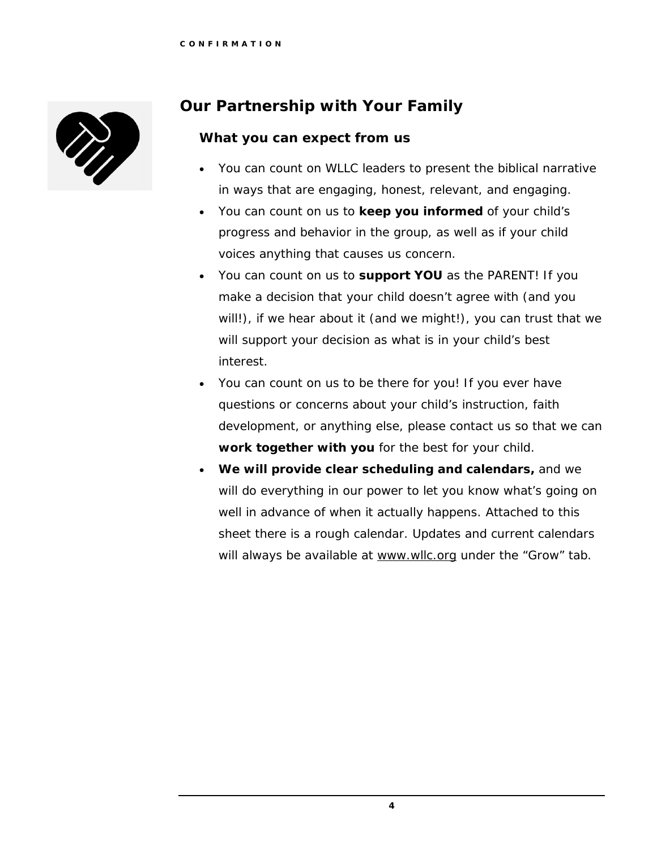

# **Our Partnership with Your Family**

## **What you can expect from us**

- You can count on WLLC leaders to present the biblical narrative in ways that are engaging, honest, relevant, and engaging.
- You can count on us to **keep you informed** of your child's progress and behavior in the group, as well as if your child voices anything that causes us concern.
- You can count on us to **support YOU** as the PARENT! If you make a decision that your child doesn't agree with (and you will!), if we hear about it (and we might!), you can trust that we will support your decision as what is in your child's best interest.
- You can count on us to be there for you! If you ever have questions or concerns about your child's instruction, faith development, or anything else, please contact us so that we can **work together with you** for the best for your child.
- **We will provide clear scheduling and calendars,** and we will do everything in our power to let you know what's going on well in advance of when it actually happens. Attached to this sheet there is a rough calendar. Updates and current calendars will always be available at www.wllc.org under the "Grow" tab.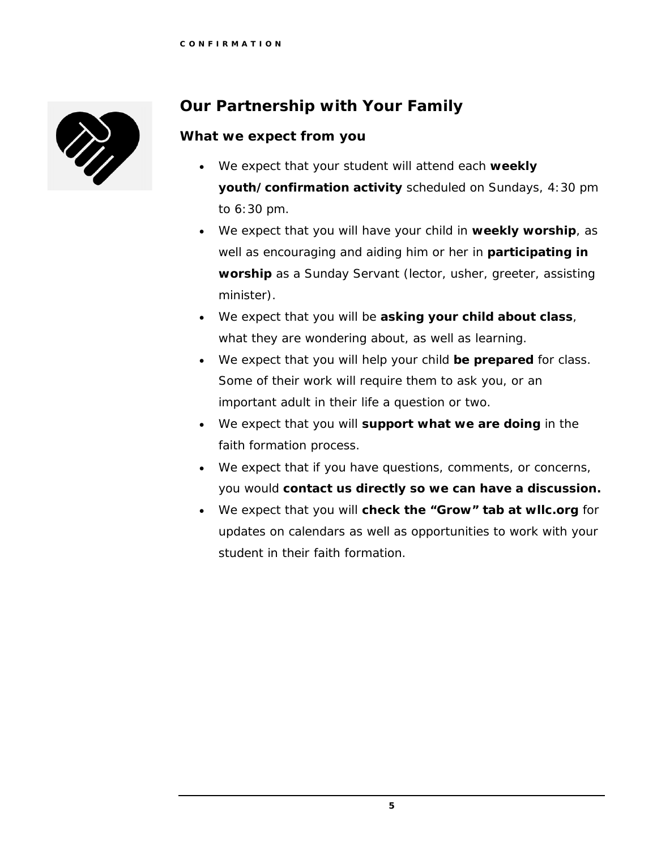

# **Our Partnership with Your Family**

## **What we expect from you**

- We expect that your student will attend each **weekly youth/confirmation activity** scheduled on Sundays, 4:30 pm to 6:30 pm.
- We expect that you will have your child in **weekly worship**, as well as encouraging and aiding him or her in **participating in worship** as a Sunday Servant (lector, usher, greeter, assisting minister).
- We expect that you will be **asking your child about class**, what they are wondering about, as well as learning.
- We expect that you will help your child **be prepared** for class. Some of their work will require them to ask you, or an important adult in their life a question or two.
- We expect that you will **support what we are doing** in the faith formation process.
- We expect that if you have questions, comments, or concerns, you would **contact us directly so we can have a discussion.**
- We expect that you will **check the "Grow" tab at wllc.org** for updates on calendars as well as opportunities to work with your student in their faith formation.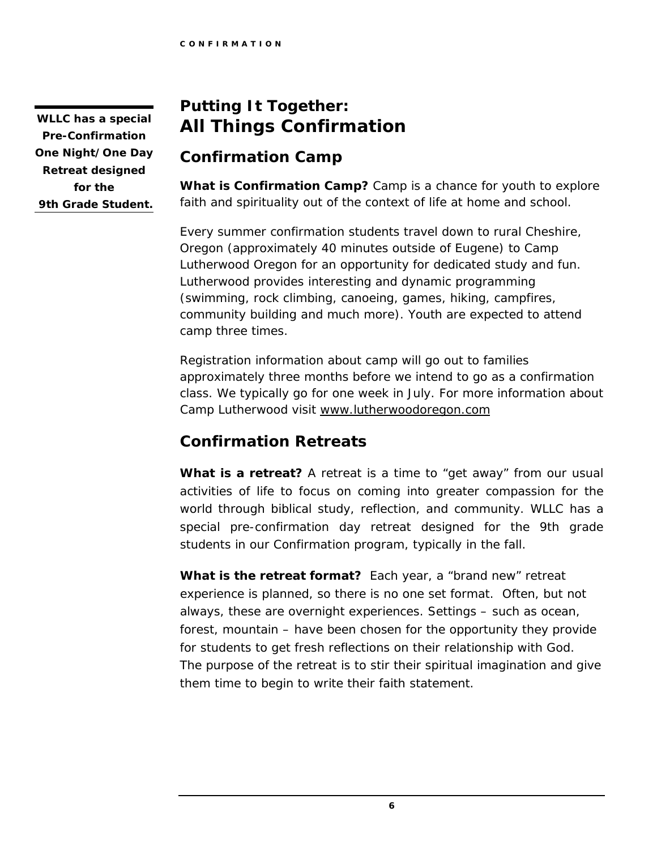**WLLC has a special Pre-Confirmation One Night/One Day Retreat designed for the 9th Grade Student.**

# **Putting It Together: All Things Confirmation**

# **Confirmation Camp**

**What is Confirmation Camp?** Camp is a chance for youth to explore faith and spirituality out of the context of life at home and school.

Every summer confirmation students travel down to rural Cheshire, Oregon (approximately 40 minutes outside of Eugene) to Camp Lutherwood Oregon for an opportunity for dedicated study and fun. Lutherwood provides interesting and dynamic programming (swimming, rock climbing, canoeing, games, hiking, campfires, community building and much more). Youth are expected to attend camp three times.

Registration information about camp will go out to families approximately three months before we intend to go as a confirmation class. We typically go for one week in July. For more information about Camp Lutherwood visit [www.lutherwoodoregon.com](http://www.lutherwoodoregon.com/)

# **Confirmation Retreats**

**What is a retreat?** A retreat is a time to "get away" from our usual activities of life to focus on coming into greater compassion for the world through biblical study, reflection, and community. WLLC has a special pre-confirmation day retreat designed for the 9th grade students in our Confirmation program, typically in the fall.

**What is the retreat format?** Each year, a "brand new" retreat experience is planned, so there is no one set format. Often, but not always, these are overnight experiences. Settings – such as ocean, forest, mountain – have been chosen for the opportunity they provide for students to get fresh reflections on their relationship with God. The purpose of the retreat is to stir their spiritual imagination and give them time to begin to write their faith statement.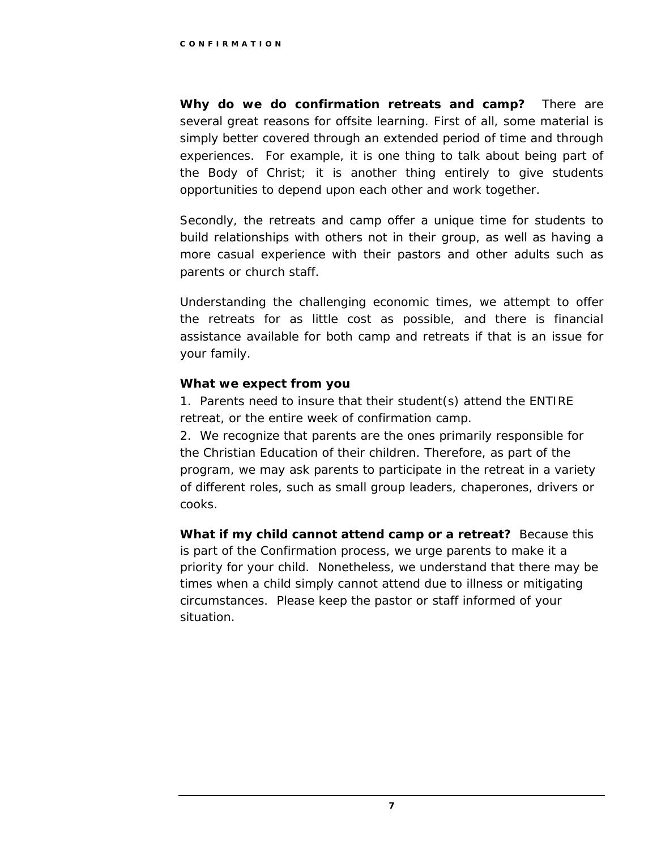**Why do we do confirmation retreats and camp?** There are several great reasons for offsite learning. First of all, some material is simply better covered through an extended period of time and through experiences. For example, it is one thing to talk about being part of the Body of Christ; it is another thing entirely to give students opportunities to depend upon each other and work together.

Secondly, the retreats and camp offer a unique time for students to build relationships with others not in their group, as well as having a more casual experience with their pastors and other adults such as parents or church staff.

Understanding the challenging economic times, we attempt to offer the retreats for as little cost as possible, and there is financial assistance available for both camp and retreats if that is an issue for your family.

#### **What we expect from you**

1. Parents need to insure that their student(s) attend the ENTIRE retreat, or the entire week of confirmation camp.

2. We recognize that parents are the ones primarily responsible for the Christian Education of their children. Therefore, as part of the program, we may ask parents to participate in the retreat in a variety of different roles, such as small group leaders, chaperones, drivers or cooks.

**What if my child cannot attend camp or a retreat?** Because this is part of the Confirmation process, we urge parents to make it a priority for your child. Nonetheless, we understand that there may be times when a child simply cannot attend due to illness or mitigating circumstances. Please keep the pastor or staff informed of your situation.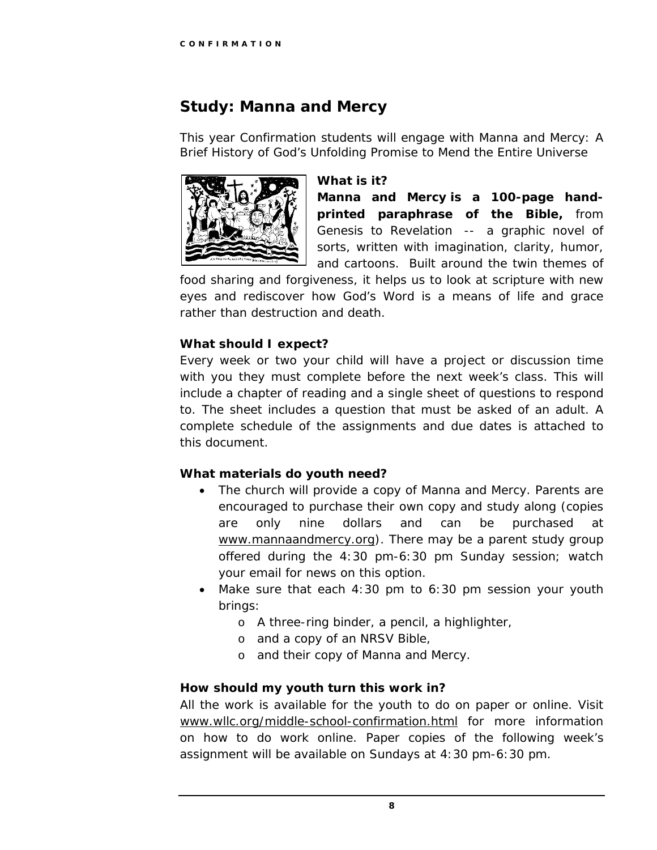# **Study: Manna and Mercy**

This year Confirmation students will engage with *Manna and Mercy: A Brief History of God's Unfolding Promise to Mend the Entire Universe* 



#### **What is it?**

**Manna and Mercy is a 100-page handprinted paraphrase of the Bible,** from Genesis to Revelation -- a graphic novel of sorts, written with imagination, clarity, humor, and cartoons. Built around the twin themes of

food sharing and forgiveness, it helps us to look at scripture with new eyes and rediscover how God's Word is a means of life and grace rather than destruction and death.

### **What should I expect?**

Every week or two your child will have a project or discussion time with you they must complete before the next week's class. This will include a chapter of reading and a single sheet of questions to respond to. The sheet includes a question that must be asked of an adult. A complete schedule of the assignments and due dates is attached to this document.

#### **What materials do youth need?**

- The church will provide a copy of *Manna and Mercy.* Parents are encouraged to purchase their own copy and study along (copies are only nine dollars and can be purchased at [www.mannaandmercy.org\)](http://www.mannaandmercy.org/). There may be a parent study group offered during the 4:30 pm-6:30 pm Sunday session; watch your email for news on this option.
- Make sure that each  $4:30$  pm to  $6:30$  pm session your youth brings:
	- o A three-ring binder, a pencil, a highlighter,
	- o and a copy of an NRSV Bible,
	- o and their copy of *Manna and Mercy*.

#### **How should my youth turn this work in?**

All the work is available for the youth to do on paper or online. Visit [www.wllc.org/middle-school-confirmation.html](http://www.wllc.org/middle-school-confirmation.html) for more information on how to do work online. Paper copies of the following week's assignment will be available on Sundays at 4:30 pm-6:30 pm.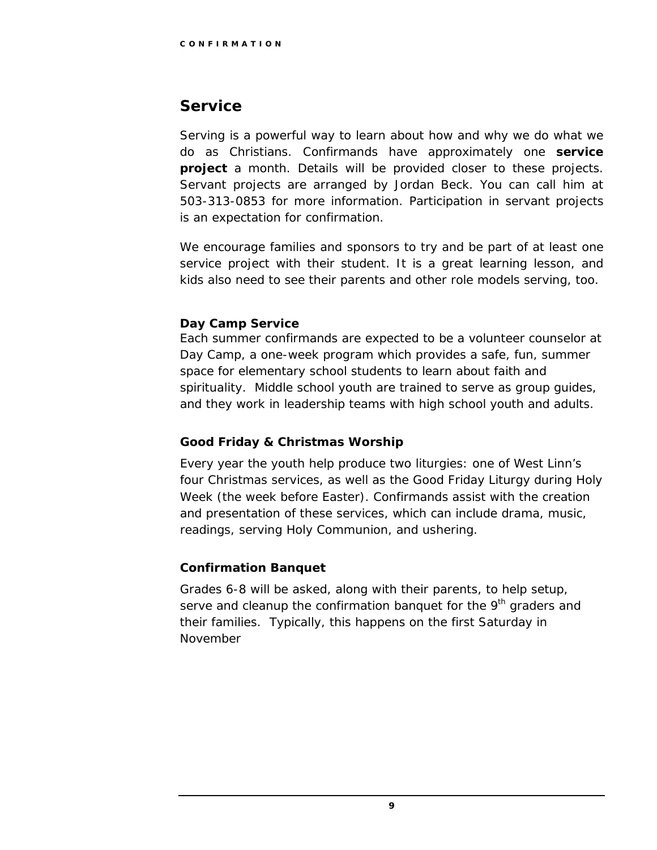## **Service**

Serving is a powerful way to learn about how and why we do what we do as Christians. Confirmands have approximately one **service project** a month. Details will be provided closer to these projects. Servant projects are arranged by Jordan Beck. You can call him at 503-313-0853 for more information. Participation in servant projects is an expectation for confirmation.

We encourage families and sponsors to try and be part of at least one service project with their student. It is a great learning lesson, and kids also need to see their parents and other role models serving, too.

### **Day Camp Service**

Each summer confirmands are expected to be a volunteer counselor at Day Camp, a one-week program which provides a safe, fun, summer space for elementary school students to learn about faith and spirituality. Middle school youth are trained to serve as group guides, and they work in leadership teams with high school youth and adults.

## **Good Friday & Christmas Worship**

Every year the youth help produce two liturgies: one of West Linn's four Christmas services, as well as the Good Friday Liturgy during Holy Week (the week before Easter). Confirmands assist with the creation and presentation of these services, which can include drama, music, readings, serving Holy Communion, and ushering.

## **Confirmation Banquet**

Grades 6-8 will be asked, along with their parents, to help setup, serve and cleanup the confirmation banquet for the  $9<sup>th</sup>$  graders and their families. Typically, this happens on the first Saturday in November